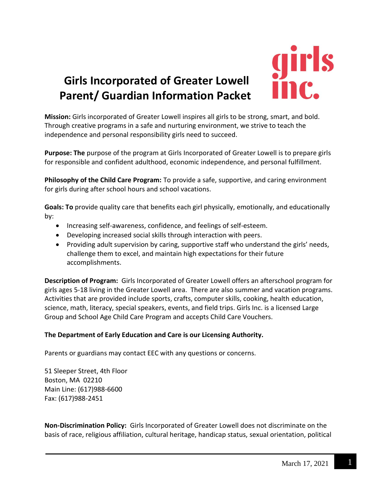

**Mission:** Girls incorporated of Greater Lowell inspires all girls to be strong, smart, and bold. Through creative programs in a safe and nurturing environment, we strive to teach the independence and personal responsibility girls need to succeed.

**Purpose: The** purpose of the program at Girls Incorporated of Greater Lowell is to prepare girls for responsible and confident adulthood, economic independence, and personal fulfillment.

**Philosophy of the Child Care Program:** To provide a safe, supportive, and caring environment for girls during after school hours and school vacations.

**Goals: To** provide quality care that benefits each girl physically, emotionally, and educationally by:

- Increasing self-awareness, confidence, and feelings of self-esteem.
- Developing increased social skills through interaction with peers.
- Providing adult supervision by caring, supportive staff who understand the girls' needs, challenge them to excel, and maintain high expectations for their future accomplishments.

**Description of Program:** Girls Incorporated of Greater Lowell offers an afterschool program for girls ages 5-18 living in the Greater Lowell area. There are also summer and vacation programs. Activities that are provided include sports, crafts, computer skills, cooking, health education, science, math, literacy, special speakers, events, and field trips. Girls Inc. is a licensed Large Group and School Age Child Care Program and accepts Child Care Vouchers.

# **The Department of Early Education and Care is our Licensing Authority.**

Parents or guardians may contact EEC with any questions or concerns.

51 Sleeper Street, 4th Floor Boston, MA 02210 Main Line: (617)988-6600 Fax: (617)988-2451

**Non-Discrimination Policy:** Girls Incorporated of Greater Lowell does not discriminate on the basis of race, religious affiliation, cultural heritage, handicap status, sexual orientation, political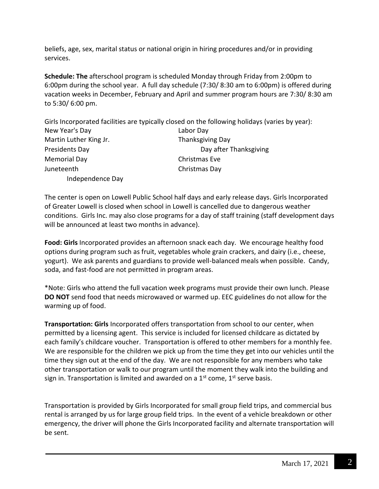beliefs, age, sex, marital status or national origin in hiring procedures and/or in providing services.

**Schedule: The** afterschool program is scheduled Monday through Friday from 2:00pm to 6:00pm during the school year. A full day schedule (7:30/ 8:30 am to 6:00pm) is offered during vacation weeks in December, February and April and summer program hours are 7:30/ 8:30 am to 5:30/ 6:00 pm.

Girls Incorporated facilities are typically closed on the following holidays (varies by year): New Year's Day Labor Day Martin Luther King Jr. Thanksgiving Day Presidents Day **Day after Thanksgiving** Memorial Day **Christmas Eve** Juneteenth Christmas Day Independence Day

The center is open on Lowell Public School half days and early release days. Girls Incorporated of Greater Lowell is closed when school in Lowell is cancelled due to dangerous weather conditions. Girls Inc. may also close programs for a day of staff training (staff development days will be announced at least two months in advance).

**Food: Girls** Incorporated provides an afternoon snack each day. We encourage healthy food options during program such as fruit, vegetables whole grain crackers, and dairy (i.e., cheese, yogurt). We ask parents and guardians to provide well-balanced meals when possible. Candy, soda, and fast-food are not permitted in program areas.

\*Note: Girls who attend the full vacation week programs must provide their own lunch. Please **DO NOT** send food that needs microwaved or warmed up. EEC guidelines do not allow for the warming up of food.

**Transportation: Girls** Incorporated offers transportation from school to our center, when permitted by a licensing agent. This service is included for licensed childcare as dictated by each family's childcare voucher. Transportation is offered to other members for a monthly fee. We are responsible for the children we pick up from the time they get into our vehicles until the time they sign out at the end of the day. We are not responsible for any members who take other transportation or walk to our program until the moment they walk into the building and sign in. Transportation is limited and awarded on a  $1<sup>st</sup>$  come,  $1<sup>st</sup>$  serve basis.

Transportation is provided by Girls Incorporated for small group field trips, and commercial bus rental is arranged by us for large group field trips. In the event of a vehicle breakdown or other emergency, the driver will phone the Girls Incorporated facility and alternate transportation will be sent.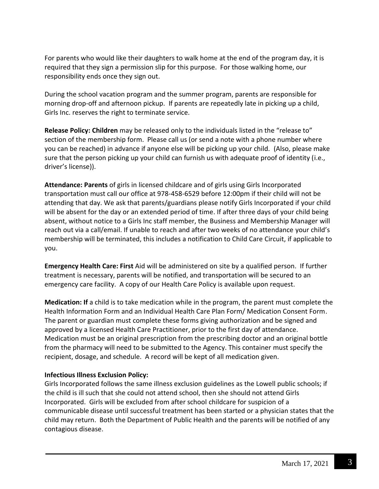For parents who would like their daughters to walk home at the end of the program day, it is required that they sign a permission slip for this purpose. For those walking home, our responsibility ends once they sign out.

During the school vacation program and the summer program, parents are responsible for morning drop-off and afternoon pickup. If parents are repeatedly late in picking up a child, Girls Inc. reserves the right to terminate service.

**Release Policy: Children** may be released only to the individuals listed in the "release to" section of the membership form. Please call us (or send a note with a phone number where you can be reached) in advance if anyone else will be picking up your child. (Also, please make sure that the person picking up your child can furnish us with adequate proof of identity (i.e., driver's license)).

**Attendance: Parents** of girls in licensed childcare and of girls using Girls Incorporated transportation must call our office at 978-458-6529 before 12:00pm if their child will not be attending that day. We ask that parents/guardians please notify Girls Incorporated if your child will be absent for the day or an extended period of time. If after three days of your child being absent, without notice to a Girls Inc staff member, the Business and Membership Manager will reach out via a call/email. If unable to reach and after two weeks of no attendance your child's membership will be terminated, this includes a notification to Child Care Circuit, if applicable to you.

**Emergency Health Care: First** Aid will be administered on site by a qualified person. If further treatment is necessary, parents will be notified, and transportation will be secured to an emergency care facility. A copy of our Health Care Policy is available upon request.

**Medication: If** a child is to take medication while in the program, the parent must complete the Health Information Form and an Individual Health Care Plan Form/ Medication Consent Form. The parent or guardian must complete these forms giving authorization and be signed and approved by a licensed Health Care Practitioner, prior to the first day of attendance. Medication must be an original prescription from the prescribing doctor and an original bottle from the pharmacy will need to be submitted to the Agency. This container must specify the recipient, dosage, and schedule. A record will be kept of all medication given.

### **Infectious Illness Exclusion Policy:**

Girls Incorporated follows the same illness exclusion guidelines as the Lowell public schools; if the child is ill such that she could not attend school, then she should not attend Girls Incorporated. Girls will be excluded from after school childcare for suspicion of a communicable disease until successful treatment has been started or a physician states that the child may return. Both the Department of Public Health and the parents will be notified of any contagious disease.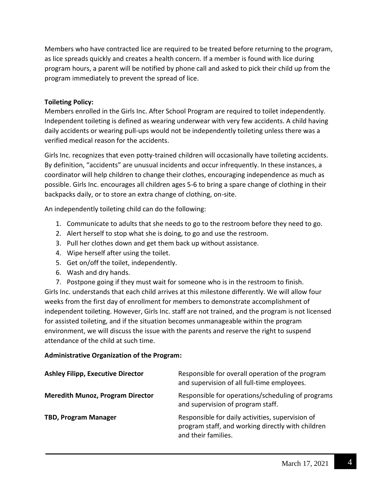Members who have contracted lice are required to be treated before returning to the program, as lice spreads quickly and creates a health concern. If a member is found with lice during program hours, a parent will be notified by phone call and asked to pick their child up from the program immediately to prevent the spread of lice.

## **Toileting Policy:**

Members enrolled in the Girls Inc. After School Program are required to toilet independently. Independent toileting is defined as wearing underwear with very few accidents. A child having daily accidents or wearing pull-ups would not be independently toileting unless there was a verified medical reason for the accidents.

Girls Inc. recognizes that even potty-trained children will occasionally have toileting accidents. By definition, "accidents" are unusual incidents and occur infrequently. In these instances, a coordinator will help children to change their clothes, encouraging independence as much as possible. Girls Inc. encourages all children ages 5-6 to bring a spare change of clothing in their backpacks daily, or to store an extra change of clothing, on-site.

An independently toileting child can do the following:

- 1. Communicate to adults that she needs to go to the restroom before they need to go.
- 2. Alert herself to stop what she is doing, to go and use the restroom.
- 3. Pull her clothes down and get them back up without assistance.
- 4. Wipe herself after using the toilet.
- 5. Get on/off the toilet, independently.
- 6. Wash and dry hands.
- 7. Postpone going if they must wait for someone who is in the restroom to finish.

Girls Inc. understands that each child arrives at this milestone differently. We will allow four weeks from the first day of enrollment for members to demonstrate accomplishment of independent toileting. However, Girls Inc. staff are not trained, and the program is not licensed for assisted toileting, and if the situation becomes unmanageable within the program environment, we will discuss the issue with the parents and reserve the right to suspend attendance of the child at such time.

### **Administrative Organization of the Program:**

| <b>Ashley Filipp, Executive Director</b> | Responsible for overall operation of the program<br>and supervision of all full-time employees.                              |
|------------------------------------------|------------------------------------------------------------------------------------------------------------------------------|
| <b>Meredith Munoz, Program Director</b>  | Responsible for operations/scheduling of programs<br>and supervision of program staff.                                       |
| <b>TBD, Program Manager</b>              | Responsible for daily activities, supervision of<br>program staff, and working directly with children<br>and their families. |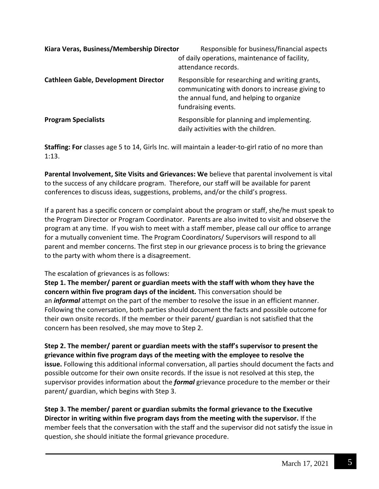| Kiara Veras, Business/Membership Director   | Responsible for business/financial aspects<br>of daily operations, maintenance of facility,<br>attendance records.                                                    |
|---------------------------------------------|-----------------------------------------------------------------------------------------------------------------------------------------------------------------------|
| <b>Cathleen Gable, Development Director</b> | Responsible for researching and writing grants,<br>communicating with donors to increase giving to<br>the annual fund, and helping to organize<br>fundraising events. |
| <b>Program Specialists</b>                  | Responsible for planning and implementing.<br>daily activities with the children.                                                                                     |

**Staffing: For** classes age 5 to 14, Girls Inc. will maintain a leader-to-girl ratio of no more than 1:13.

**Parental Involvement, Site Visits and Grievances: We** believe that parental involvement is vital to the success of any childcare program. Therefore, our staff will be available for parent conferences to discuss ideas, suggestions, problems, and/or the child's progress.

If a parent has a specific concern or complaint about the program or staff, she/he must speak to the Program Director or Program Coordinator. Parents are also invited to visit and observe the program at any time. If you wish to meet with a staff member, please call our office to arrange for a mutually convenient time. The Program Coordinators/ Supervisors will respond to all parent and member concerns. The first step in our grievance process is to bring the grievance to the party with whom there is a disagreement.

### The escalation of grievances is as follows:

**Step 1. The member/ parent or guardian meets with the staff with whom they have the concern within five program days of the incident.** This conversation should be an *informal* attempt on the part of the member to resolve the issue in an efficient manner. Following the conversation, both parties should document the facts and possible outcome for their own onsite records. If the member or their parent/ guardian is not satisfied that the concern has been resolved, she may move to Step 2.

**Step 2. The member/ parent or guardian meets with the staff's supervisor to present the grievance within five program days of the meeting with the employee to resolve the issue.** Following this additional informal conversation, all parties should document the facts and possible outcome for their own onsite records. If the issue is not resolved at this step, the supervisor provides information about the *formal* grievance procedure to the member or their parent/ guardian, which begins with Step 3.

**Step 3. The member/ parent or guardian submits the formal grievance to the Executive Director in writing within five program days from the meeting with the supervisor.** If the member feels that the conversation with the staff and the supervisor did not satisfy the issue in question, she should initiate the formal grievance procedure.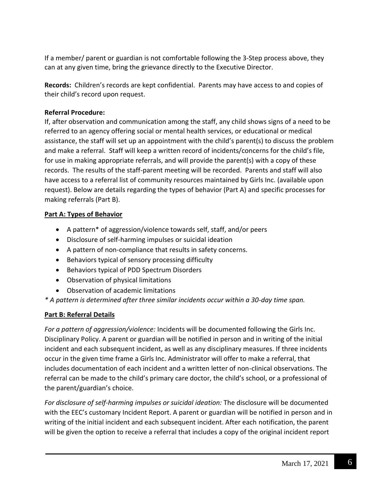If a member/ parent or guardian is not comfortable following the 3-Step process above, they can at any given time, bring the grievance directly to the Executive Director.

**Records:** Children's records are kept confidential. Parents may have access to and copies of their child's record upon request.

## **Referral Procedure:**

If, after observation and communication among the staff, any child shows signs of a need to be referred to an agency offering social or mental health services, or educational or medical assistance, the staff will set up an appointment with the child's parent(s) to discuss the problem and make a referral. Staff will keep a written record of incidents/concerns for the child's file, for use in making appropriate referrals, and will provide the parent(s) with a copy of these records. The results of the staff-parent meeting will be recorded. Parents and staff will also have access to a referral list of community resources maintained by Girls Inc. (available upon request). Below are details regarding the types of behavior (Part A) and specific processes for making referrals (Part B).

## **Part A: Types of Behavior**

- A pattern\* of aggression/violence towards self, staff, and/or peers
- Disclosure of self-harming impulses or suicidal ideation
- A pattern of non-compliance that results in safety concerns.
- Behaviors typical of sensory processing difficulty
- Behaviors typical of PDD Spectrum Disorders
- Observation of physical limitations
- Observation of academic limitations

*\* A pattern is determined after three similar incidents occur within a 30-day time span.*

# **Part B: Referral Details**

*For a pattern of aggression/violence:* Incidents will be documented following the Girls Inc. Disciplinary Policy. A parent or guardian will be notified in person and in writing of the initial incident and each subsequent incident, as well as any disciplinary measures. If three incidents occur in the given time frame a Girls Inc. Administrator will offer to make a referral, that includes documentation of each incident and a written letter of non-clinical observations. The referral can be made to the child's primary care doctor, the child's school, or a professional of the parent/guardian's choice.

*For disclosure of self-harming impulses or suicidal ideation:* The disclosure will be documented with the EEC's customary Incident Report. A parent or guardian will be notified in person and in writing of the initial incident and each subsequent incident. After each notification, the parent will be given the option to receive a referral that includes a copy of the original incident report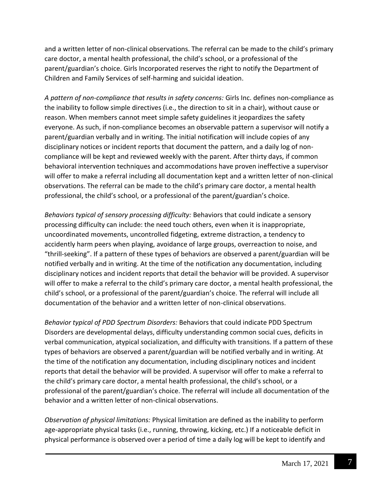and a written letter of non-clinical observations. The referral can be made to the child's primary care doctor, a mental health professional, the child's school, or a professional of the parent/guardian's choice. Girls Incorporated reserves the right to notify the Department of Children and Family Services of self-harming and suicidal ideation.

*A pattern of non-compliance that results in safety concerns:* Girls Inc. defines non-compliance as the inability to follow simple directives (i.e., the direction to sit in a chair), without cause or reason. When members cannot meet simple safety guidelines it jeopardizes the safety everyone. As such, if non-compliance becomes an observable pattern a supervisor will notify a parent/guardian verbally and in writing. The initial notification will include copies of any disciplinary notices or incident reports that document the pattern, and a daily log of noncompliance will be kept and reviewed weekly with the parent. After thirty days, if common behavioral intervention techniques and accommodations have proven ineffective a supervisor will offer to make a referral including all documentation kept and a written letter of non-clinical observations. The referral can be made to the child's primary care doctor, a mental health professional, the child's school, or a professional of the parent/guardian's choice.

*Behaviors typical of sensory processing difficulty:* Behaviors that could indicate a sensory processing difficulty can include: the need touch others, even when it is inappropriate, uncoordinated movements, uncontrolled fidgeting, extreme distraction, a tendency to accidently harm peers when playing, avoidance of large groups, overreaction to noise, and "thrill-seeking". If a pattern of these types of behaviors are observed a parent/guardian will be notified verbally and in writing. At the time of the notification any documentation, including disciplinary notices and incident reports that detail the behavior will be provided. A supervisor will offer to make a referral to the child's primary care doctor, a mental health professional, the child's school, or a professional of the parent/guardian's choice. The referral will include all documentation of the behavior and a written letter of non-clinical observations.

*Behavior typical of PDD Spectrum Disorders:* Behaviors that could indicate PDD Spectrum Disorders are developmental delays, difficulty understanding common social cues, deficits in verbal communication, atypical socialization, and difficulty with transitions. If a pattern of these types of behaviors are observed a parent/guardian will be notified verbally and in writing. At the time of the notification any documentation, including disciplinary notices and incident reports that detail the behavior will be provided. A supervisor will offer to make a referral to the child's primary care doctor, a mental health professional, the child's school, or a professional of the parent/guardian's choice. The referral will include all documentation of the behavior and a written letter of non-clinical observations.

*Observation of physical limitations:* Physical limitation are defined as the inability to perform age-appropriate physical tasks (i.e., running, throwing, kicking, etc.) If a noticeable deficit in physical performance is observed over a period of time a daily log will be kept to identify and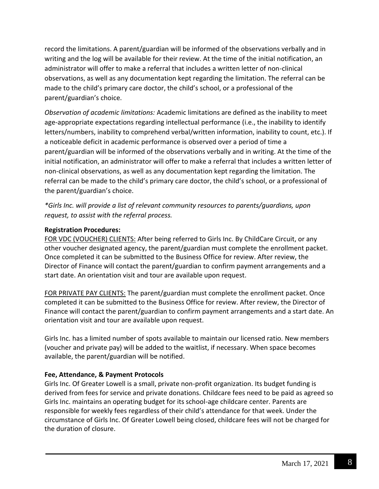record the limitations. A parent/guardian will be informed of the observations verbally and in writing and the log will be available for their review. At the time of the initial notification, an administrator will offer to make a referral that includes a written letter of non-clinical observations, as well as any documentation kept regarding the limitation. The referral can be made to the child's primary care doctor, the child's school, or a professional of the parent/guardian's choice.

*Observation of academic limitations:* Academic limitations are defined as the inability to meet age-appropriate expectations regarding intellectual performance (i.e., the inability to identify letters/numbers, inability to comprehend verbal/written information, inability to count, etc.). If a noticeable deficit in academic performance is observed over a period of time a parent/guardian will be informed of the observations verbally and in writing. At the time of the initial notification, an administrator will offer to make a referral that includes a written letter of non-clinical observations, as well as any documentation kept regarding the limitation. The referral can be made to the child's primary care doctor, the child's school, or a professional of the parent/guardian's choice.

*\*Girls Inc. will provide a list of relevant community resources to parents/guardians, upon request, to assist with the referral process.* 

### **Registration Procedures:**

FOR VDC (VOUCHER) CLIENTS: After being referred to Girls Inc. By ChildCare Circuit, or any other voucher designated agency, the parent/guardian must complete the enrollment packet. Once completed it can be submitted to the Business Office for review. After review, the Director of Finance will contact the parent/guardian to confirm payment arrangements and a start date. An orientation visit and tour are available upon request.

FOR PRIVATE PAY CLIENTS: The parent/guardian must complete the enrollment packet. Once completed it can be submitted to the Business Office for review. After review, the Director of Finance will contact the parent/guardian to confirm payment arrangements and a start date. An orientation visit and tour are available upon request.

Girls Inc. has a limited number of spots available to maintain our licensed ratio. New members (voucher and private pay) will be added to the waitlist, if necessary. When space becomes available, the parent/guardian will be notified.

### **Fee, Attendance, & Payment Protocols**

Girls Inc. Of Greater Lowell is a small, private non-profit organization. Its budget funding is derived from fees for service and private donations. Childcare fees need to be paid as agreed so Girls Inc. maintains an operating budget for its school-age childcare center. Parents are responsible for weekly fees regardless of their child's attendance for that week. Under the circumstance of Girls Inc. Of Greater Lowell being closed, childcare fees will not be charged for the duration of closure.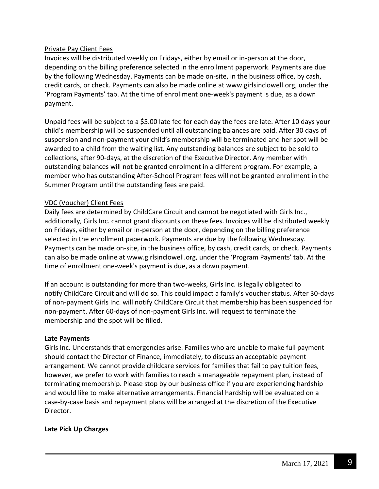## Private Pay Client Fees

Invoices will be distributed weekly on Fridays, either by email or in-person at the door, depending on the billing preference selected in the enrollment paperwork. Payments are due by the following Wednesday. Payments can be made on-site, in the business office, by cash, credit cards, or check. Payments can also be made online at [www.girlsinclowell.org,](http://www.girlsinclowell.org/) under the 'Program Payments' tab. At the time of enrollment one-week's payment is due, as a down payment.

Unpaid fees will be subject to a \$5.00 late fee for each day the fees are late. After 10 days your child's membership will be suspended until all outstanding balances are paid. After 30 days of suspension and non-payment your child's membership will be terminated and her spot will be awarded to a child from the waiting list. Any outstanding balances are subject to be sold to collections, after 90-days, at the discretion of the Executive Director. Any member with outstanding balances will not be granted enrolment in a different program. For example, a member who has outstanding After-School Program fees will not be granted enrollment in the Summer Program until the outstanding fees are paid.

## VDC (Voucher) Client Fees

Daily fees are determined by ChildCare Circuit and cannot be negotiated with Girls Inc., additionally, Girls Inc. cannot grant discounts on these fees. Invoices will be distributed weekly on Fridays, either by email or in-person at the door, depending on the billing preference selected in the enrollment paperwork. Payments are due by the following Wednesday. Payments can be made on-site, in the business office, by cash, credit cards, or check. Payments can also be made online at [www.girlsinclowell.org](http://www.girlsinclowell.org/), under the 'Program Payments' tab. At the time of enrollment one-week's payment is due, as a down payment.

If an account is outstanding for more than two-weeks, Girls Inc. is legally obligated to notify ChildCare Circuit and will do so. This could impact a family's voucher status. After 30-days of non-payment Girls Inc. will notify ChildCare Circuit that membership has been suspended for non-payment. After 60-days of non-payment Girls Inc. will request to terminate the membership and the spot will be filled.

### **Late Payments**

Girls Inc. Understands that emergencies arise. Families who are unable to make full payment should contact the Director of Finance, immediately, to discuss an acceptable payment arrangement. We cannot provide childcare services for families that fail to pay tuition fees, however, we prefer to work with families to reach a manageable repayment plan, instead of terminating membership. Please stop by our business office if you are experiencing hardship and would like to make alternative arrangements. Financial hardship will be evaluated on a case-by-case basis and repayment plans will be arranged at the discretion of the Executive Director.

### **Late Pick Up Charges**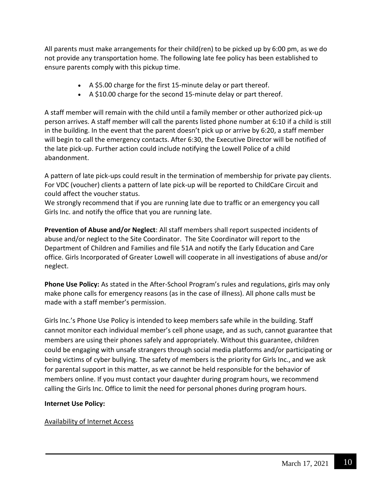All parents must make arrangements for their child(ren) to be picked up by 6:00 pm, as we do not provide any transportation home. The following late fee policy has been established to ensure parents comply with this pickup time.

- A \$5.00 charge for the first 15-minute delay or part thereof.
- A \$10.00 charge for the second 15-minute delay or part thereof.

A staff member will remain with the child until a family member or other authorized pick-up person arrives. A staff member will call the parents listed phone number at 6:10 if a child is still in the building. In the event that the parent doesn't pick up or arrive by 6:20, a staff member will begin to call the emergency contacts. After 6:30, the Executive Director will be notified of the late pick-up. Further action could include notifying the Lowell Police of a child abandonment.

A pattern of late pick-ups could result in the termination of membership for private pay clients. For VDC (voucher) clients a pattern of late pick-up will be reported to ChildCare Circuit and could affect the voucher status.

We strongly recommend that if you are running late due to traffic or an emergency you call Girls Inc. and notify the office that you are running late.

**Prevention of Abuse and/or Neglect**: All staff members shall report suspected incidents of abuse and/or neglect to the Site Coordinator. The Site Coordinator will report to the Department of Children and Families and file 51A and notify the Early Education and Care office. Girls Incorporated of Greater Lowell will cooperate in all investigations of abuse and/or neglect.

**Phone Use Policy:** As stated in the After-School Program's rules and regulations, girls may only make phone calls for emergency reasons (as in the case of illness). All phone calls must be made with a staff member's permission.

Girls Inc.'s Phone Use Policy is intended to keep members safe while in the building. Staff cannot monitor each individual member's cell phone usage, and as such, cannot guarantee that members are using their phones safely and appropriately. Without this guarantee, children could be engaging with unsafe strangers through social media platforms and/or participating or being victims of cyber bullying. The safety of members is the priority for Girls Inc., and we ask for parental support in this matter, as we cannot be held responsible for the behavior of members online. If you must contact your daughter during program hours, we recommend calling the Girls Inc. Office to limit the need for personal phones during program hours.

### **Internet Use Policy:**

### Availability of Internet Access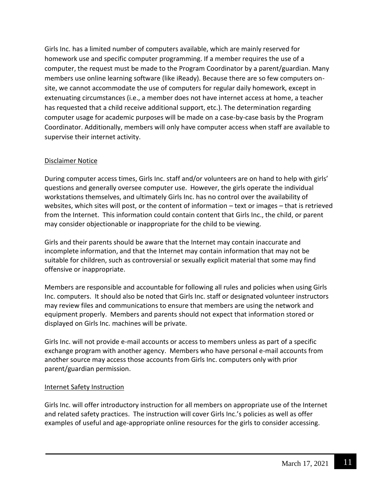Girls Inc. has a limited number of computers available, which are mainly reserved for homework use and specific computer programming. If a member requires the use of a computer, the request must be made to the Program Coordinator by a parent/guardian. Many members use online learning software (like iReady). Because there are so few computers onsite, we cannot accommodate the use of computers for regular daily homework, except in extenuating circumstances (i.e., a member does not have internet access at home, a teacher has requested that a child receive additional support, etc.). The determination regarding computer usage for academic purposes will be made on a case-by-case basis by the Program Coordinator. Additionally, members will only have computer access when staff are available to supervise their internet activity.

### Disclaimer Notice

During computer access times, Girls Inc. staff and/or volunteers are on hand to help with girls' questions and generally oversee computer use. However, the girls operate the individual workstations themselves, and ultimately Girls Inc. has no control over the availability of websites, which sites will post, or the content of information – text or images – that is retrieved from the Internet. This information could contain content that Girls Inc., the child, or parent may consider objectionable or inappropriate for the child to be viewing.

Girls and their parents should be aware that the Internet may contain inaccurate and incomplete information, and that the Internet may contain information that may not be suitable for children, such as controversial or sexually explicit material that some may find offensive or inappropriate.

Members are responsible and accountable for following all rules and policies when using Girls Inc. computers. It should also be noted that Girls Inc. staff or designated volunteer instructors may review files and communications to ensure that members are using the network and equipment properly. Members and parents should not expect that information stored or displayed on Girls Inc. machines will be private.

Girls Inc. will not provide e-mail accounts or access to members unless as part of a specific exchange program with another agency. Members who have personal e-mail accounts from another source may access those accounts from Girls Inc. computers only with prior parent/guardian permission.

### Internet Safety Instruction

Girls Inc. will offer introductory instruction for all members on appropriate use of the Internet and related safety practices. The instruction will cover Girls Inc.'s policies as well as offer examples of useful and age-appropriate online resources for the girls to consider accessing.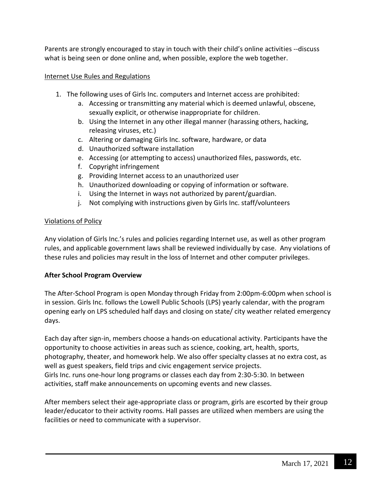Parents are strongly encouraged to stay in touch with their child's online activities --discuss what is being seen or done online and, when possible, explore the web together.

#### Internet Use Rules and Regulations

- 1. The following uses of Girls Inc. computers and Internet access are prohibited:
	- a. Accessing or transmitting any material which is deemed unlawful, obscene, sexually explicit, or otherwise inappropriate for children.
	- b. Using the Internet in any other illegal manner (harassing others, hacking, releasing viruses, etc.)
	- c. Altering or damaging Girls Inc. software, hardware, or data
	- d. Unauthorized software installation
	- e. Accessing (or attempting to access) unauthorized files, passwords, etc.
	- f. Copyright infringement
	- g. Providing Internet access to an unauthorized user
	- h. Unauthorized downloading or copying of information or software.
	- i. Using the Internet in ways not authorized by parent/guardian.
	- j. Not complying with instructions given by Girls Inc. staff/volunteers

#### Violations of Policy

Any violation of Girls Inc.'s rules and policies regarding Internet use, as well as other program rules, and applicable government laws shall be reviewed individually by case. Any violations of these rules and policies may result in the loss of Internet and other computer privileges.

#### **After School Program Overview**

The After-School Program is open Monday through Friday from 2:00pm-6:00pm when school is in session. Girls Inc. follows the Lowell Public Schools (LPS) yearly calendar, with the program opening early on LPS scheduled half days and closing on state/ city weather related emergency days.

Each day after sign-in, members choose a hands-on educational activity. Participants have the opportunity to choose activities in areas such as science, cooking, art, health, sports, photography, theater, and homework help. We also offer specialty classes at no extra cost, as well as guest speakers, field trips and civic engagement service projects. Girls Inc. runs one-hour long programs or classes each day from 2:30-5:30. In between activities, staff make announcements on upcoming events and new classes.

After members select their age-appropriate class or program, girls are escorted by their group leader/educator to their activity rooms. Hall passes are utilized when members are using the facilities or need to communicate with a supervisor.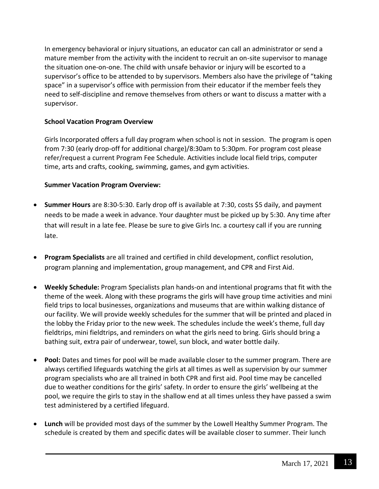In emergency behavioral or injury situations, an educator can call an administrator or send a mature member from the activity with the incident to recruit an on-site supervisor to manage the situation one-on-one. The child with unsafe behavior or injury will be escorted to a supervisor's office to be attended to by supervisors. Members also have the privilege of "taking space" in a supervisor's office with permission from their educator if the member feels they need to self-discipline and remove themselves from others or want to discuss a matter with a supervisor.

## **School Vacation Program Overview**

Girls Incorporated offers a full day program when school is not in session. The program is open from 7:30 (early drop-off for additional charge)/8:30am to 5:30pm. For program cost please refer/request a current Program Fee Schedule. Activities include local field trips, computer time, arts and crafts, cooking, swimming, games, and gym activities.

## **Summer Vacation Program Overview:**

- **Summer Hours** are 8:30-5:30. Early drop off is available at 7:30, costs \$5 daily, and payment needs to be made a week in advance. Your daughter must be picked up by 5:30. Any time after that will result in a late fee. Please be sure to give Girls Inc. a courtesy call if you are running late.
- **Program Specialists** are all trained and certified in child development, conflict resolution, program planning and implementation, group management, and CPR and First Aid.
- **Weekly Schedule:** Program Specialists plan hands-on and intentional programs that fit with the theme of the week. Along with these programs the girls will have group time activities and mini field trips to local businesses, organizations and museums that are within walking distance of our facility. We will provide weekly schedules for the summer that will be printed and placed in the lobby the Friday prior to the new week. The schedules include the week's theme, full day fieldtrips, mini fieldtrips, and reminders on what the girls need to bring. Girls should bring a bathing suit, extra pair of underwear, towel, sun block, and water bottle daily.
- **Pool:** Dates and times for pool will be made available closer to the summer program. There are always certified lifeguards watching the girls at all times as well as supervision by our summer program specialists who are all trained in both CPR and first aid. Pool time may be cancelled due to weather conditions for the girls' safety. In order to ensure the girls' wellbeing at the pool, we require the girls to stay in the shallow end at all times unless they have passed a swim test administered by a certified lifeguard.
- **Lunch** will be provided most days of the summer by the Lowell Healthy Summer Program. The schedule is created by them and specific dates will be available closer to summer. Their lunch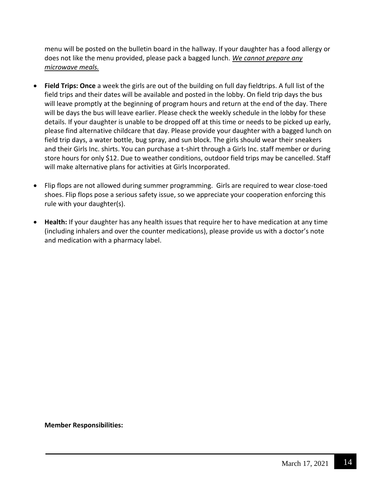menu will be posted on the bulletin board in the hallway. If your daughter has a food allergy or does not like the menu provided, please pack a bagged lunch. *We cannot prepare any microwave meals.*

- **Field Trips: Once** a week the girls are out of the building on full day fieldtrips. A full list of the field trips and their dates will be available and posted in the lobby. On field trip days the bus will leave promptly at the beginning of program hours and return at the end of the day. There will be days the bus will leave earlier. Please check the weekly schedule in the lobby for these details. If your daughter is unable to be dropped off at this time or needs to be picked up early, please find alternative childcare that day. Please provide your daughter with a bagged lunch on field trip days, a water bottle, bug spray, and sun block. The girls should wear their sneakers and their Girls Inc. shirts. You can purchase a t-shirt through a Girls Inc. staff member or during store hours for only \$12. Due to weather conditions, outdoor field trips may be cancelled. Staff will make alternative plans for activities at Girls Incorporated.
- Flip flops are not allowed during summer programming. Girls are required to wear close-toed shoes. Flip flops pose a serious safety issue, so we appreciate your cooperation enforcing this rule with your daughter(s).
- **Health:** If your daughter has any health issues that require her to have medication at any time (including inhalers and over the counter medications), please provide us with a doctor's note and medication with a pharmacy label.

**Member Responsibilities:**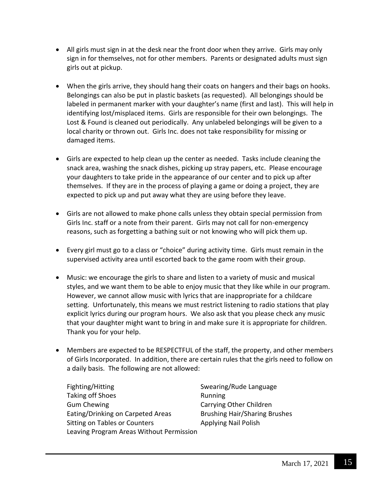- All girls must sign in at the desk near the front door when they arrive. Girls may only sign in for themselves, not for other members. Parents or designated adults must sign girls out at pickup.
- When the girls arrive, they should hang their coats on hangers and their bags on hooks. Belongings can also be put in plastic baskets (as requested). All belongings should be labeled in permanent marker with your daughter's name (first and last). This will help in identifying lost/misplaced items. Girls are responsible for their own belongings. The Lost & Found is cleaned out periodically. Any unlabeled belongings will be given to a local charity or thrown out. Girls Inc. does not take responsibility for missing or damaged items.
- Girls are expected to help clean up the center as needed. Tasks include cleaning the snack area, washing the snack dishes, picking up stray papers, etc. Please encourage your daughters to take pride in the appearance of our center and to pick up after themselves. If they are in the process of playing a game or doing a project, they are expected to pick up and put away what they are using before they leave.
- Girls are not allowed to make phone calls unless they obtain special permission from Girls Inc. staff or a note from their parent. Girls may not call for non-emergency reasons, such as forgetting a bathing suit or not knowing who will pick them up.
- Every girl must go to a class or "choice" during activity time. Girls must remain in the supervised activity area until escorted back to the game room with their group.
- Music: we encourage the girls to share and listen to a variety of music and musical styles, and we want them to be able to enjoy music that they like while in our program. However, we cannot allow music with lyrics that are inappropriate for a childcare setting. Unfortunately, this means we must restrict listening to radio stations that play explicit lyrics during our program hours. We also ask that you please check any music that your daughter might want to bring in and make sure it is appropriate for children. Thank you for your help.
- Members are expected to be RESPECTFUL of the staff, the property, and other members of Girls Incorporated. In addition, there are certain rules that the girls need to follow on a daily basis. The following are not allowed:
	- Fighting/Hitting **Swearing/Rude Language** Taking off Shoes **Running** Gum Chewing **Carrying Other Children** Eating/Drinking on Carpeted Areas Brushing Hair/Sharing Brushes Sitting on Tables or Counters **Applying Nail Polish** Leaving Program Areas Without Permission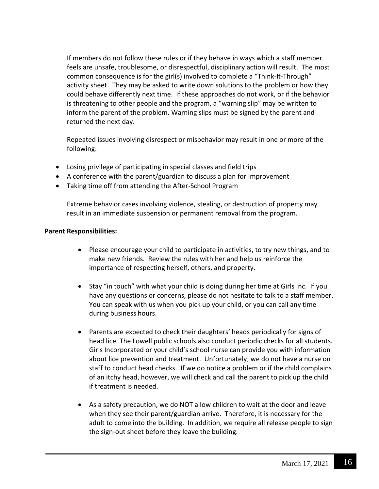If members do not follow these rules or if they behave in ways which a staff member feels are unsafe, troublesome, or disrespectful, disciplinary action will result. The most common consequence is for the girl(s) involved to complete a "Think-It-Through" activity sheet. They may be asked to write down solutions to the problem or how they could behave differently next time. If these approaches do not work, or if the behavior is threatening to other people and the program, a "warning slip" may be written to inform the parent of the problem. Warning slips must be signed by the parent and returned the next day.

Repeated issues involving disrespect or misbehavior may result in one or more of the following:

- Losing privilege of participating in special classes and field trips
- A conference with the parent/guardian to discuss a plan for improvement
- Taking time off from attending the After-School Program

Extreme behavior cases involving violence, stealing, or destruction of property may result in an immediate suspension or permanent removal from the program.

#### **Parent Responsibilities:**

- Please encourage your child to participate in activities, to try new things, and to make new friends. Review the rules with her and help us reinforce the importance of respecting herself, others, and property.
- Stay "in touch" with what your child is doing during her time at Girls Inc. If you have any questions or concerns, please do not hesitate to talk to a staff member. You can speak with us when you pick up your child, or you can call any time during business hours.
- Parents are expected to check their daughters' heads periodically for signs of head lice. The Lowell public schools also conduct periodic checks for all students. Girls Incorporated or your child's school nurse can provide you with information about lice prevention and treatment. Unfortunately, we do not have a nurse on staff to conduct head checks. If we do notice a problem or if the child complains of an itchy head, however, we will check and call the parent to pick up the child if treatment is needed.
- As a safety precaution, we do NOT allow children to wait at the door and leave when they see their parent/guardian arrive. Therefore, it is necessary for the adult to come into the building. In addition, we require all release people to sign the sign-out sheet before they leave the building.